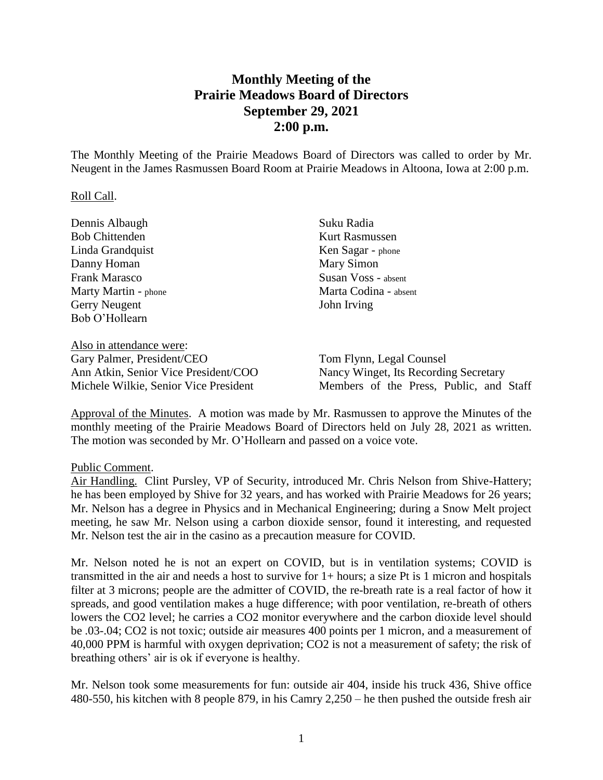# **Monthly Meeting of the Prairie Meadows Board of Directors September 29, 2021 2:00 p.m.**

The Monthly Meeting of the Prairie Meadows Board of Directors was called to order by Mr. Neugent in the James Rasmussen Board Room at Prairie Meadows in Altoona, Iowa at 2:00 p.m.

#### Roll Call.

| Dennis Albaugh           | Suku Radia            |  |
|--------------------------|-----------------------|--|
| <b>Bob Chittenden</b>    | <b>Kurt Rasmussen</b> |  |
| Linda Grandquist         | Ken Sagar - phone     |  |
| Danny Homan              | Mary Simon            |  |
| Frank Marasco            | Susan Voss - absent   |  |
| Marty Martin - phone     | Marta Codina - absent |  |
| Gerry Neugent            | John Irving           |  |
| Bob O'Hollearn           |                       |  |
|                          |                       |  |
| Alaa in attandanaa manar |                       |  |

Also in attendance were: Gary Palmer, President/CEO Ann Atkin, Senior Vice President/COO Michele Wilkie, Senior Vice President

Tom Flynn, Legal Counsel Nancy Winget, Its Recording Secretary Members of the Press, Public, and Staff

Approval of the Minutes. A motion was made by Mr. Rasmussen to approve the Minutes of the monthly meeting of the Prairie Meadows Board of Directors held on July 28, 2021 as written. The motion was seconded by Mr. O'Hollearn and passed on a voice vote.

### Public Comment.

Air Handling. Clint Pursley, VP of Security, introduced Mr. Chris Nelson from Shive-Hattery; he has been employed by Shive for 32 years, and has worked with Prairie Meadows for 26 years; Mr. Nelson has a degree in Physics and in Mechanical Engineering; during a Snow Melt project meeting, he saw Mr. Nelson using a carbon dioxide sensor, found it interesting, and requested Mr. Nelson test the air in the casino as a precaution measure for COVID.

Mr. Nelson noted he is not an expert on COVID, but is in ventilation systems; COVID is transmitted in the air and needs a host to survive for 1+ hours; a size Pt is 1 micron and hospitals filter at 3 microns; people are the admitter of COVID, the re-breath rate is a real factor of how it spreads, and good ventilation makes a huge difference; with poor ventilation, re-breath of others lowers the CO2 level; he carries a CO2 monitor everywhere and the carbon dioxide level should be .03-.04; CO2 is not toxic; outside air measures 400 points per 1 micron, and a measurement of 40,000 PPM is harmful with oxygen deprivation; CO2 is not a measurement of safety; the risk of breathing others' air is ok if everyone is healthy.

Mr. Nelson took some measurements for fun: outside air 404, inside his truck 436, Shive office 480-550, his kitchen with 8 people 879, in his Camry 2,250 – he then pushed the outside fresh air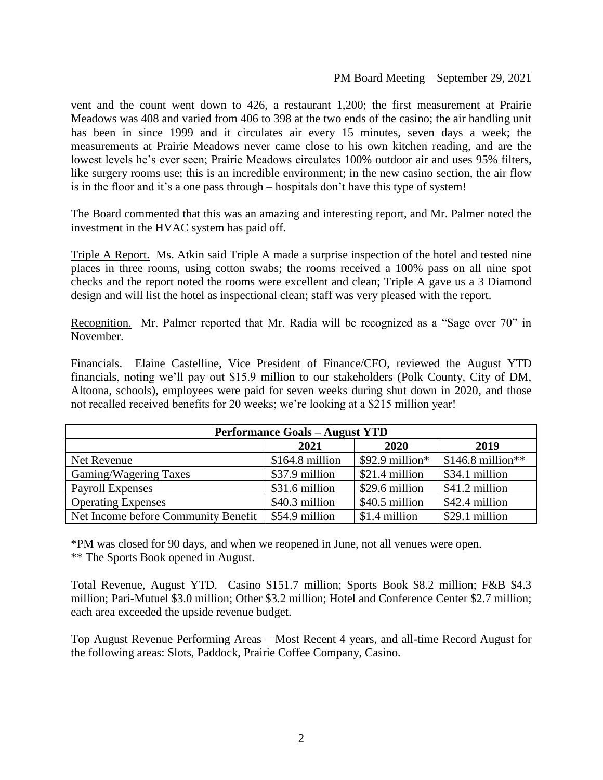vent and the count went down to 426, a restaurant 1,200; the first measurement at Prairie Meadows was 408 and varied from 406 to 398 at the two ends of the casino; the air handling unit has been in since 1999 and it circulates air every 15 minutes, seven days a week; the measurements at Prairie Meadows never came close to his own kitchen reading, and are the lowest levels he's ever seen; Prairie Meadows circulates 100% outdoor air and uses 95% filters, like surgery rooms use; this is an incredible environment; in the new casino section, the air flow is in the floor and it's a one pass through – hospitals don't have this type of system!

The Board commented that this was an amazing and interesting report, and Mr. Palmer noted the investment in the HVAC system has paid off.

Triple A Report. Ms. Atkin said Triple A made a surprise inspection of the hotel and tested nine places in three rooms, using cotton swabs; the rooms received a 100% pass on all nine spot checks and the report noted the rooms were excellent and clean; Triple A gave us a 3 Diamond design and will list the hotel as inspectional clean; staff was very pleased with the report.

Recognition. Mr. Palmer reported that Mr. Radia will be recognized as a "Sage over 70" in November.

Financials. Elaine Castelline, Vice President of Finance/CFO, reviewed the August YTD financials, noting we'll pay out \$15.9 million to our stakeholders (Polk County, City of DM, Altoona, schools), employees were paid for seven weeks during shut down in 2020, and those not recalled received benefits for 20 weeks; we're looking at a \$215 million year!

| <b>Performance Goals - August YTD</b> |                  |                  |                    |  |
|---------------------------------------|------------------|------------------|--------------------|--|
|                                       | 2021             | 2020             | 2019               |  |
| Net Revenue                           | $$164.8$ million | $$92.9$ million* | $$146.8$ million** |  |
| Gaming/Wagering Taxes                 | \$37.9 million   | \$21.4 million   | \$34.1 million     |  |
| Payroll Expenses                      | \$31.6 million   | \$29.6 million   | \$41.2 million     |  |
| <b>Operating Expenses</b>             | \$40.3 million   | \$40.5 million   | \$42.4 million     |  |
| Net Income before Community Benefit   | \$54.9 million   | \$1.4 million    | \$29.1 million     |  |

\*PM was closed for 90 days, and when we reopened in June, not all venues were open. \*\* The Sports Book opened in August.

Total Revenue, August YTD. Casino \$151.7 million; Sports Book \$8.2 million; F&B \$4.3 million; Pari-Mutuel \$3.0 million; Other \$3.2 million; Hotel and Conference Center \$2.7 million; each area exceeded the upside revenue budget.

Top August Revenue Performing Areas – Most Recent 4 years, and all-time Record August for the following areas: Slots, Paddock, Prairie Coffee Company, Casino.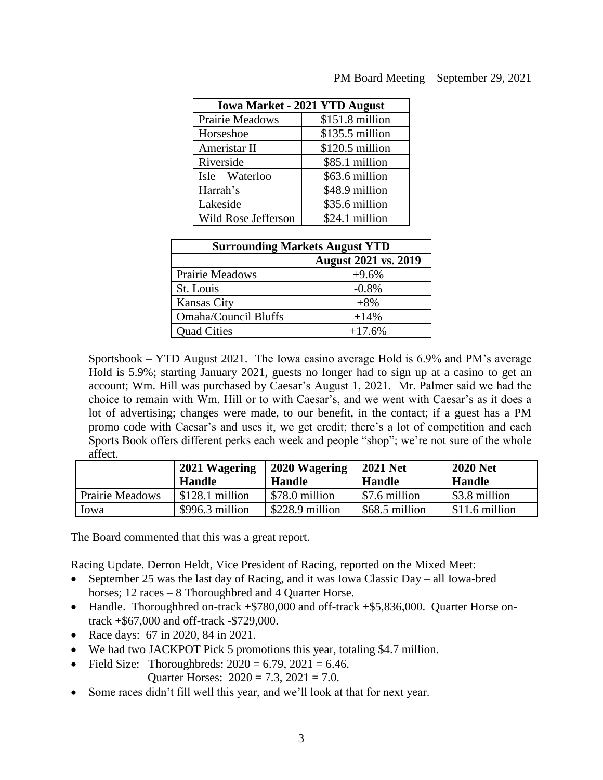|                   | PM Board Meeting – September 29, 2021 |
|-------------------|---------------------------------------|
|                   |                                       |
| . 2021 VTD August |                                       |

| <b>Iowa Market - 2021 YTD August</b> |                  |  |  |
|--------------------------------------|------------------|--|--|
| Prairie Meadows                      | \$151.8 million  |  |  |
| Horseshoe                            | $$135.5$ million |  |  |
| Ameristar II                         | \$120.5 million  |  |  |
| Riverside                            | \$85.1 million   |  |  |
| Isle – Waterloo                      | \$63.6 million   |  |  |
| Harrah's                             | \$48.9 million   |  |  |
| Lakeside                             | \$35.6 million   |  |  |
| Wild Rose Jefferson                  | \$24.1 million   |  |  |

| <b>Surrounding Markets August YTD</b> |                             |  |  |
|---------------------------------------|-----------------------------|--|--|
|                                       | <b>August 2021 vs. 2019</b> |  |  |
| <b>Prairie Meadows</b>                | $+9.6%$                     |  |  |
| St. Louis                             | $-0.8%$                     |  |  |
| <b>Kansas City</b>                    | $+8%$                       |  |  |
| <b>Omaha/Council Bluffs</b>           | $+14%$                      |  |  |
| <b>Quad Cities</b>                    | $+17.6%$                    |  |  |

Sportsbook – YTD August 2021. The Iowa casino average Hold is 6.9% and PM's average Hold is 5.9%; starting January 2021, guests no longer had to sign up at a casino to get an account; Wm. Hill was purchased by Caesar's August 1, 2021. Mr. Palmer said we had the choice to remain with Wm. Hill or to with Caesar's, and we went with Caesar's as it does a lot of advertising; changes were made, to our benefit, in the contact; if a guest has a PM promo code with Caesar's and uses it, we get credit; there's a lot of competition and each Sports Book offers different perks each week and people "shop"; we're not sure of the whole affect.

|                        | 2021 Wagering<br><b>Handle</b> | 2020 Wagering<br><b>Handle</b> | <b>2021 Net</b><br><b>Handle</b> | <b>2020 Net</b><br><b>Handle</b> |
|------------------------|--------------------------------|--------------------------------|----------------------------------|----------------------------------|
| <b>Prairie Meadows</b> | $$128.1$ million               | \$78.0 million                 | \$7.6 million                    | \$3.8 million                    |
| lowa                   | $$996.3$ million               | \$228.9 million                | \$68.5 million                   | $$11.6$ million                  |

The Board commented that this was a great report.

Racing Update. Derron Heldt, Vice President of Racing, reported on the Mixed Meet:

- September 25 was the last day of Racing, and it was Iowa Classic Day all Iowa-bred horses; 12 races – 8 Thoroughbred and 4 Quarter Horse.
- Handle. Thoroughbred on-track +\$780,000 and off-track +\$5,836,000. Quarter Horse ontrack +\$67,000 and off-track -\$729,000.
- Race days: 67 in 2020, 84 in 2021.
- We had two JACKPOT Pick 5 promotions this year, totaling \$4.7 million.
- Field Size: Thoroughbreds:  $2020 = 6.79$ ,  $2021 = 6.46$ .
	- Quarter Horses:  $2020 = 7.3$ ,  $2021 = 7.0$ .
- Some races didn't fill well this year, and we'll look at that for next year.